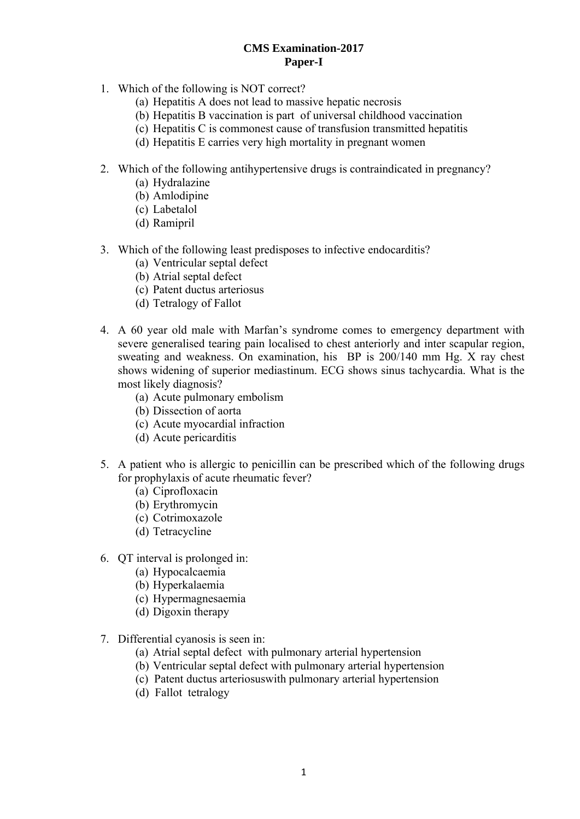# **CMS Examination-2017 Paper-I**

- 1. Which of the following is NOT correct?
	- (a) Hepatitis A does not lead to massive hepatic necrosis
	- (b) Hepatitis B vaccination is part of universal childhood vaccination
	- (c) Hepatitis C is commonest cause of transfusion transmitted hepatitis
	- (d) Hepatitis E carries very high mortality in pregnant women
- 2. Which of the following antihypertensive drugs is contraindicated in pregnancy?
	- (a) Hydralazine
	- (b) Amlodipine
	- (c) Labetalol
	- (d) Ramipril
- 3. Which of the following least predisposes to infective endocarditis?
	- (a) Ventricular septal defect
	- (b) Atrial septal defect
	- (c) Patent ductus arteriosus
	- (d) Tetralogy of Fallot
- 4. A 60 year old male with Marfan's syndrome comes to emergency department with severe generalised tearing pain localised to chest anteriorly and inter scapular region, sweating and weakness. On examination, his BP is 200/140 mm Hg. X ray chest shows widening of superior mediastinum. ECG shows sinus tachycardia. What is the most likely diagnosis?
	- (a) Acute pulmonary embolism
	- (b) Dissection of aorta
	- (c) Acute myocardial infraction
	- (d) Acute pericarditis
- 5. A patient who is allergic to penicillin can be prescribed which of the following drugs for prophylaxis of acute rheumatic fever?
	- (a) Ciprofloxacin
	- (b) Erythromycin
	- (c) Cotrimoxazole
	- (d) Tetracycline
- 6. QT interval is prolonged in:
	- (a) Hypocalcaemia
	- (b) Hyperkalaemia
	- (c) Hypermagnesaemia
	- (d) Digoxin therapy
- 7. Differential cyanosis is seen in:
	- (a) Atrial septal defect with pulmonary arterial hypertension
	- (b) Ventricular septal defect with pulmonary arterial hypertension
	- (c) Patent ductus arteriosuswith pulmonary arterial hypertension
	- (d) Fallot tetralogy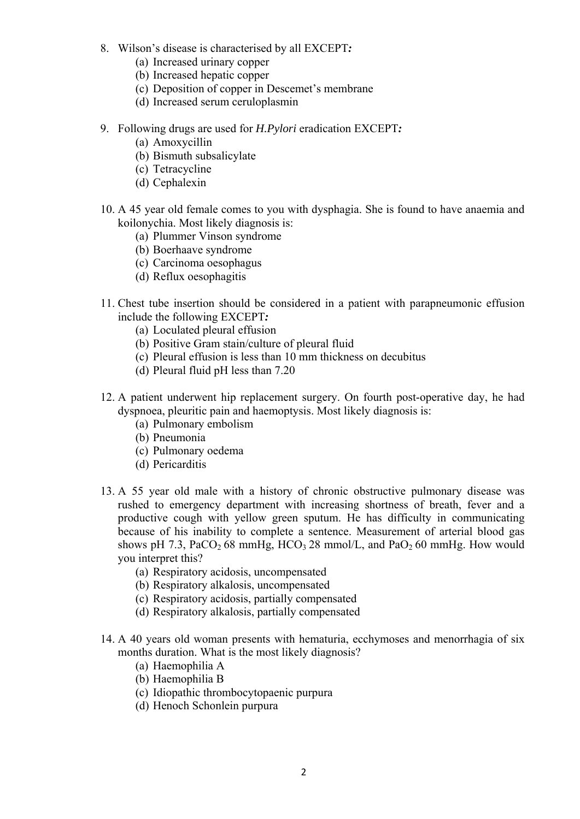- 8. Wilson's disease is characterised by all EXCEPT*:*
	- (a) Increased urinary copper
	- (b) Increased hepatic copper
	- (c) Deposition of copper in Descemet's membrane
	- (d) Increased serum ceruloplasmin
- 9. Following drugs are used for *H.Pylori* eradication EXCEPT*:*
	- (a) Amoxycillin
	- (b) Bismuth subsalicylate
	- (c) Tetracycline
	- (d) Cephalexin
- 10. A 45 year old female comes to you with dysphagia. She is found to have anaemia and koilonychia. Most likely diagnosis is:
	- (a) Plummer Vinson syndrome
	- (b) Boerhaave syndrome
	- (c) Carcinoma oesophagus
	- (d) Reflux oesophagitis
- 11. Chest tube insertion should be considered in a patient with parapneumonic effusion include the following EXCEPT*:*
	- (a) Loculated pleural effusion
	- (b) Positive Gram stain/culture of pleural fluid
	- (c) Pleural effusion is less than 10 mm thickness on decubitus
	- (d) Pleural fluid pH less than 7.20
- 12. A patient underwent hip replacement surgery. On fourth post-operative day, he had dyspnoea, pleuritic pain and haemoptysis. Most likely diagnosis is:
	- (a) Pulmonary embolism
	- (b) Pneumonia
	- (c) Pulmonary oedema
	- (d) Pericarditis
- 13. A 55 year old male with a history of chronic obstructive pulmonary disease was rushed to emergency department with increasing shortness of breath, fever and a productive cough with yellow green sputum. He has difficulty in communicating because of his inability to complete a sentence. Measurement of arterial blood gas shows pH 7.3, PaCO<sub>2</sub> 68 mmHg, HCO<sub>3</sub> 28 mmol/L, and PaO<sub>2</sub> 60 mmHg. How would you interpret this?
	- (a) Respiratory acidosis, uncompensated
	- (b) Respiratory alkalosis, uncompensated
	- (c) Respiratory acidosis, partially compensated
	- (d) Respiratory alkalosis, partially compensated
- 14. A 40 years old woman presents with hematuria, ecchymoses and menorrhagia of six months duration. What is the most likely diagnosis?
	- (a) Haemophilia A
	- (b) Haemophilia B
	- (c) Idiopathic thrombocytopaenic purpura
	- (d) Henoch Schonlein purpura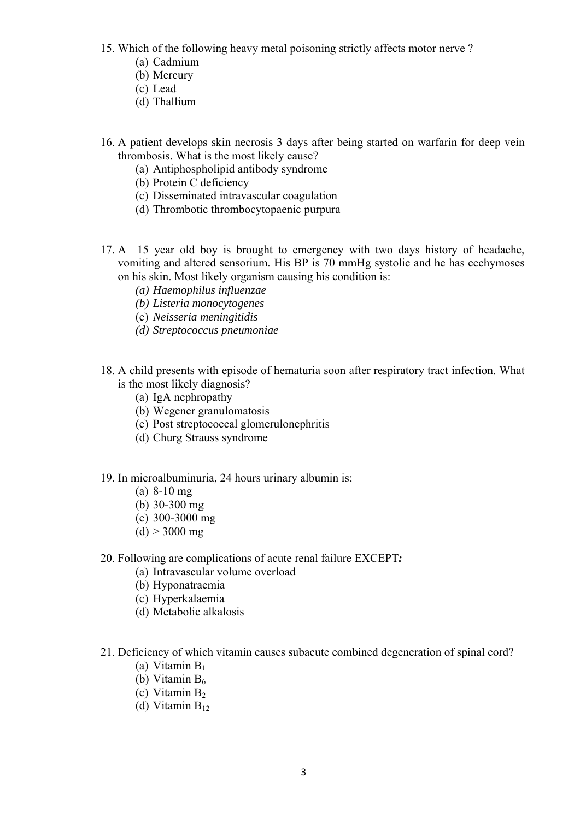- 15. Which of the following heavy metal poisoning strictly affects motor nerve ?
	- (a) Cadmium
	- (b) Mercury
	- (c) Lead
	- (d) Thallium
- 16. A patient develops skin necrosis 3 days after being started on warfarin for deep vein thrombosis. What is the most likely cause?
	- (a) Antiphospholipid antibody syndrome
	- (b) Protein C deficiency
	- (c) Disseminated intravascular coagulation
	- (d) Thrombotic thrombocytopaenic purpura
- 17. A 15 year old boy is brought to emergency with two days history of headache, vomiting and altered sensorium. His BP is 70 mmHg systolic and he has ecchymoses on his skin. Most likely organism causing his condition is:
	- *(a) Haemophilus influenzae*
	- *(b) Listeria monocytogenes*
	- (c) *Neisseria meningitidis*
	- *(d) Streptococcus pneumoniae*
- 18. A child presents with episode of hematuria soon after respiratory tract infection. What is the most likely diagnosis?
	- (a) IgA nephropathy
	- (b) Wegener granulomatosis
	- (c) Post streptococcal glomerulonephritis
	- (d) Churg Strauss syndrome
- 19. In microalbuminuria, 24 hours urinary albumin is:
	- (a) 8-10 mg
	- (b) 30-300 mg
	- (c) 300-3000 mg
	- $(d) > 3000$  mg
- 20. Following are complications of acute renal failure EXCEPT*:*
	- (a) Intravascular volume overload
	- (b) Hyponatraemia
	- (c) Hyperkalaemia
	- (d) Metabolic alkalosis
- 21. Deficiency of which vitamin causes subacute combined degeneration of spinal cord?
	- (a) Vitamin  $B_1$
	- (b) Vitamin  $B_6$
	- (c) Vitamin  $B_2$
	- (d) Vitamin  $B_{12}$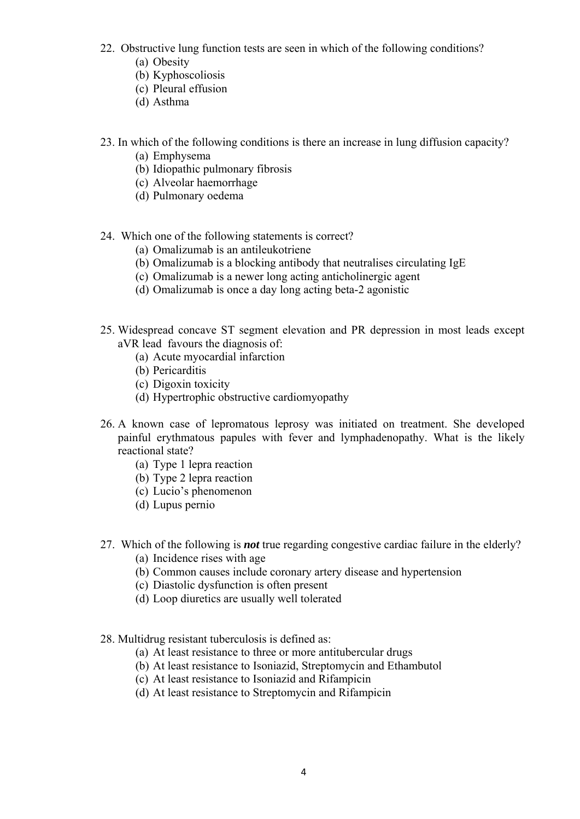- 22. Obstructive lung function tests are seen in which of the following conditions? (a) Obesity
	- (b) Kyphoscoliosis
	- (c) Pleural effusion
	- (d) Asthma
- 23. In which of the following conditions is there an increase in lung diffusion capacity?
	- (a) Emphysema
	- (b) Idiopathic pulmonary fibrosis
	- (c) Alveolar haemorrhage
	- (d) Pulmonary oedema
- 24. Which one of the following statements is correct?
	- (a) Omalizumab is an antileukotriene
	- (b) Omalizumab is a blocking antibody that neutralises circulating IgE
	- (c) Omalizumab is a newer long acting anticholinergic agent
	- (d) Omalizumab is once a day long acting beta-2 agonistic
- 25. Widespread concave ST segment elevation and PR depression in most leads except aVR lead favours the diagnosis of:
	- (a) Acute myocardial infarction
	- (b) Pericarditis
	- (c) Digoxin toxicity
	- (d) Hypertrophic obstructive cardiomyopathy
- 26. A known case of lepromatous leprosy was initiated on treatment. She developed painful erythmatous papules with fever and lymphadenopathy. What is the likely reactional state?
	- (a) Type 1 lepra reaction
	- (b) Type 2 lepra reaction
	- (c) Lucio's phenomenon
	- (d) Lupus pernio
- 27. Which of the following is *not* true regarding congestive cardiac failure in the elderly?
	- (a) Incidence rises with age
	- (b) Common causes include coronary artery disease and hypertension
	- (c) Diastolic dysfunction is often present
	- (d) Loop diuretics are usually well tolerated
- 28. Multidrug resistant tuberculosis is defined as:
	- (a) At least resistance to three or more antitubercular drugs
	- (b) At least resistance to Isoniazid, Streptomycin and Ethambutol
	- (c) At least resistance to Isoniazid and Rifampicin
	- (d) At least resistance to Streptomycin and Rifampicin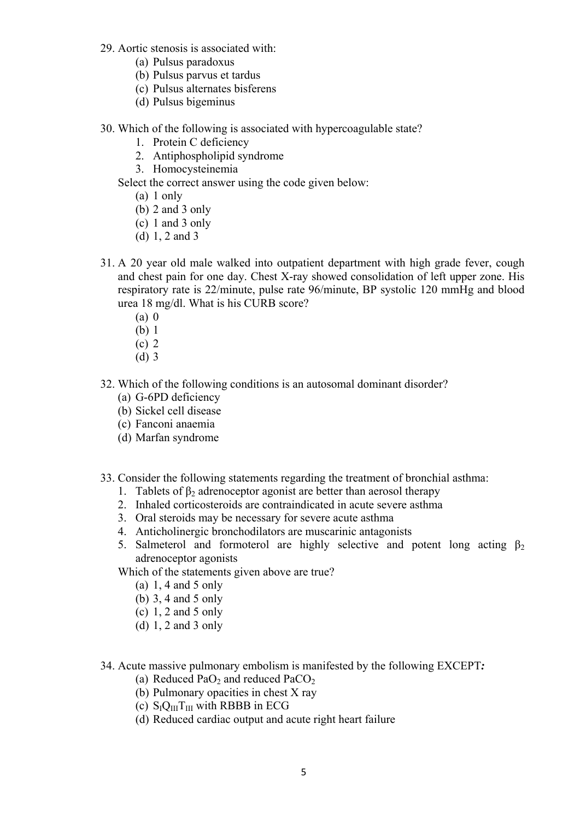- 29. Aortic stenosis is associated with:
	- (a) Pulsus paradoxus
	- (b) Pulsus parvus et tardus
	- (c) Pulsus alternates bisferens
	- (d) Pulsus bigeminus
- 30. Which of the following is associated with hypercoagulable state?
	- 1. Protein C deficiency
	- 2. Antiphospholipid syndrome
	- 3. Homocysteinemia

Select the correct answer using the code given below:

- (a) 1 only
- (b) 2 and 3 only
- (c) 1 and 3 only
- (d) 1, 2 and 3
- 31. A 20 year old male walked into outpatient department with high grade fever, cough and chest pain for one day. Chest X-ray showed consolidation of left upper zone. His respiratory rate is 22/minute, pulse rate 96/minute, BP systolic 120 mmHg and blood urea 18 mg/dl. What is his CURB score?
	- (a) 0
	- (b) 1
	- (c) 2
	- (d) 3
- 32. Which of the following conditions is an autosomal dominant disorder?
	- (a) G-6PD deficiency
	- (b) Sickel cell disease
	- (c) Fanconi anaemia
	- (d) Marfan syndrome
- 33. Consider the following statements regarding the treatment of bronchial asthma:
	- 1. Tablets of  $\beta_2$  adrenoceptor agonist are better than aerosol therapy
	- 2. Inhaled corticosteroids are contraindicated in acute severe asthma
	- 3. Oral steroids may be necessary for severe acute asthma
	- 4. Anticholinergic bronchodilators are muscarinic antagonists
	- 5. Salmeterol and formoterol are highly selective and potent long acting  $\beta_2$ adrenoceptor agonists

Which of the statements given above are true?

- (a) 1, 4 and 5 only
- (b) 3, 4 and 5 only
- (c) 1, 2 and 5 only
- (d) 1, 2 and 3 only
- 34. Acute massive pulmonary embolism is manifested by the following EXCEPT*:*
	- (a) Reduced PaO<sub>2</sub> and reduced PaCO<sub>2</sub>
	- (b) Pulmonary opacities in chest X ray
	- (c)  $S_{I}Q_{III}T_{III}$  with RBBB in ECG
	- (d) Reduced cardiac output and acute right heart failure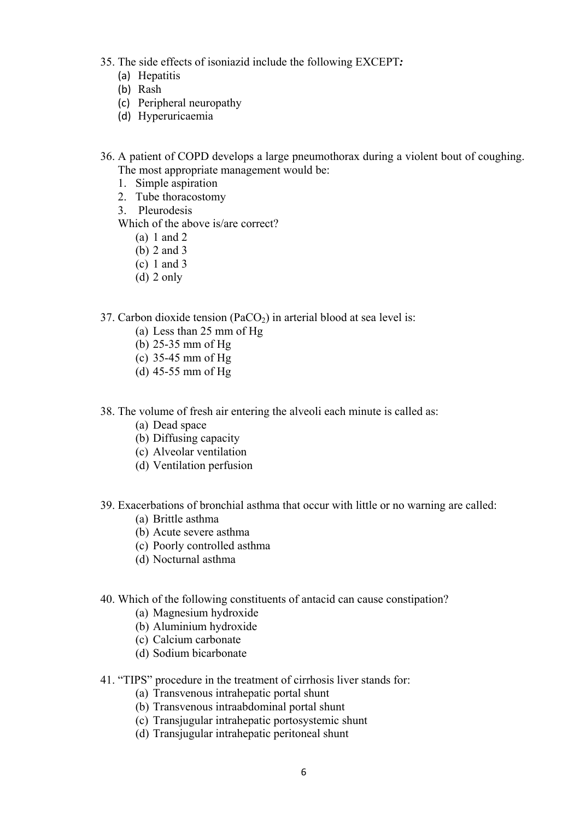- 35. The side effects of isoniazid include the following EXCEPT*:*
	- (a) Hepatitis
	- (b) Rash
	- (c) Peripheral neuropathy
	- (d) Hyperuricaemia
- 36. A patient of COPD develops a large pneumothorax during a violent bout of coughing. The most appropriate management would be:
	- 1. Simple aspiration
	- 2. Tube thoracostomy
	- 3. Pleurodesis
	- Which of the above is/are correct?
		- (a) 1 and 2
		- (b) 2 and 3
		- (c) 1 and 3
		- (d) 2 only
- 37. Carbon dioxide tension ( $PaCO<sub>2</sub>$ ) in arterial blood at sea level is:
	- (a) Less than 25 mm of Hg
	- (b) 25-35 mm of Hg
	- (c) 35-45 mm of Hg
	- (d) 45-55 mm of Hg
- 38. The volume of fresh air entering the alveoli each minute is called as:
	- (a) Dead space
	- (b) Diffusing capacity
	- (c) Alveolar ventilation
	- (d) Ventilation perfusion
- 39. Exacerbations of bronchial asthma that occur with little or no warning are called:
	- (a) Brittle asthma
	- (b) Acute severe asthma
	- (c) Poorly controlled asthma
	- (d) Nocturnal asthma

### 40. Which of the following constituents of antacid can cause constipation?

- (a) Magnesium hydroxide
- (b) Aluminium hydroxide
- (c) Calcium carbonate
- (d) Sodium bicarbonate

# 41. "TIPS" procedure in the treatment of cirrhosis liver stands for:

- (a) Transvenous intrahepatic portal shunt
- (b) Transvenous intraabdominal portal shunt
- (c) Transjugular intrahepatic portosystemic shunt
- (d) Transjugular intrahepatic peritoneal shunt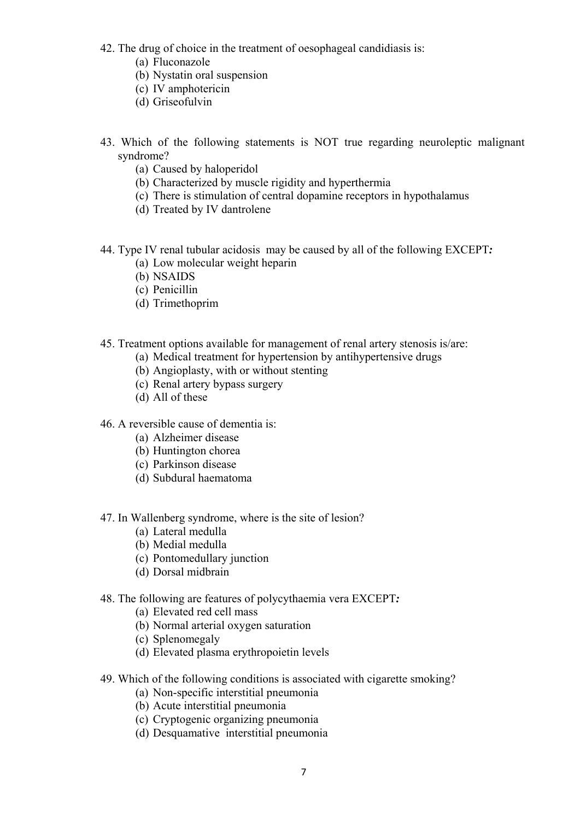- 42. The drug of choice in the treatment of oesophageal candidiasis is:
	- (a) Fluconazole
	- (b) Nystatin oral suspension
	- (c) IV amphotericin
	- (d) Griseofulvin
- 43. Which of the following statements is NOT true regarding neuroleptic malignant syndrome?
	- (a) Caused by haloperidol
	- (b) Characterized by muscle rigidity and hyperthermia
	- (c) There is stimulation of central dopamine receptors in hypothalamus
	- (d) Treated by IV dantrolene
- 44. Type IV renal tubular acidosis may be caused by all of the following EXCEPT*:*
	- (a) Low molecular weight heparin
	- (b) NSAIDS
	- (c) Penicillin
	- (d) Trimethoprim
- 45. Treatment options available for management of renal artery stenosis is/are:
	- (a) Medical treatment for hypertension by antihypertensive drugs
	- (b) Angioplasty, with or without stenting
	- (c) Renal artery bypass surgery
	- (d) All of these
- 46. A reversible cause of dementia is:
	- (a) Alzheimer disease
	- (b) Huntington chorea
	- (c) Parkinson disease
	- (d) Subdural haematoma
- 47. In Wallenberg syndrome, where is the site of lesion?
	- (a) Lateral medulla
	- (b) Medial medulla
	- (c) Pontomedullary junction
	- (d) Dorsal midbrain
- 48. The following are features of polycythaemia vera EXCEPT*:*
	- (a) Elevated red cell mass
	- (b) Normal arterial oxygen saturation
	- (c) Splenomegaly
	- (d) Elevated plasma erythropoietin levels
- 49. Which of the following conditions is associated with cigarette smoking?
	- (a) Non-specific interstitial pneumonia
	- (b) Acute interstitial pneumonia
	- (c) Cryptogenic organizing pneumonia
	- (d) Desquamative interstitial pneumonia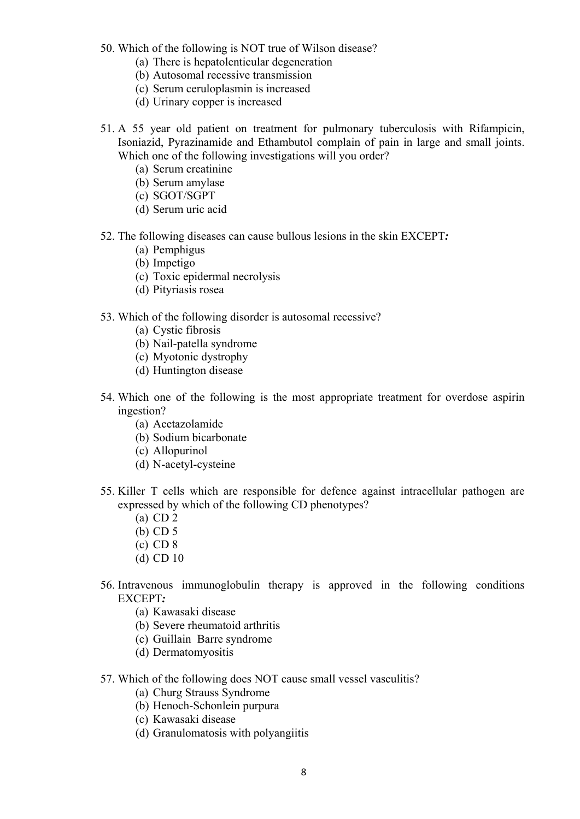- 50. Which of the following is NOT true of Wilson disease?
	- (a) There is hepatolenticular degeneration
	- (b) Autosomal recessive transmission
	- (c) Serum ceruloplasmin is increased
	- (d) Urinary copper is increased
- 51. A 55 year old patient on treatment for pulmonary tuberculosis with Rifampicin, Isoniazid, Pyrazinamide and Ethambutol complain of pain in large and small joints. Which one of the following investigations will you order?
	- (a) Serum creatinine
	- (b) Serum amylase
	- (c) SGOT/SGPT
	- (d) Serum uric acid
- 52. The following diseases can cause bullous lesions in the skin EXCEPT*:*
	- (a) Pemphigus
	- (b) Impetigo
	- (c) Toxic epidermal necrolysis
	- (d) Pityriasis rosea
- 53. Which of the following disorder is autosomal recessive?
	- (a) Cystic fibrosis
	- (b) Nail-patella syndrome
	- (c) Myotonic dystrophy
	- (d) Huntington disease
- 54. Which one of the following is the most appropriate treatment for overdose aspirin ingestion?
	- (a) Acetazolamide
	- (b) Sodium bicarbonate
	- (c) Allopurinol
	- (d) N-acetyl-cysteine
- 55. Killer T cells which are responsible for defence against intracellular pathogen are expressed by which of the following CD phenotypes?
	- (a) CD 2
	- (b) CD 5
	- (c) CD 8
	- (d) CD 10
- 56. Intravenous immunoglobulin therapy is approved in the following conditions EXCEPT*:*
	- (a) Kawasaki disease
	- (b) Severe rheumatoid arthritis
	- (c) Guillain Barre syndrome
	- (d) Dermatomyositis
- 57. Which of the following does NOT cause small vessel vasculitis?
	- (a) Churg Strauss Syndrome
	- (b) Henoch-Schonlein purpura
	- (c) Kawasaki disease
	- (d) Granulomatosis with polyangiitis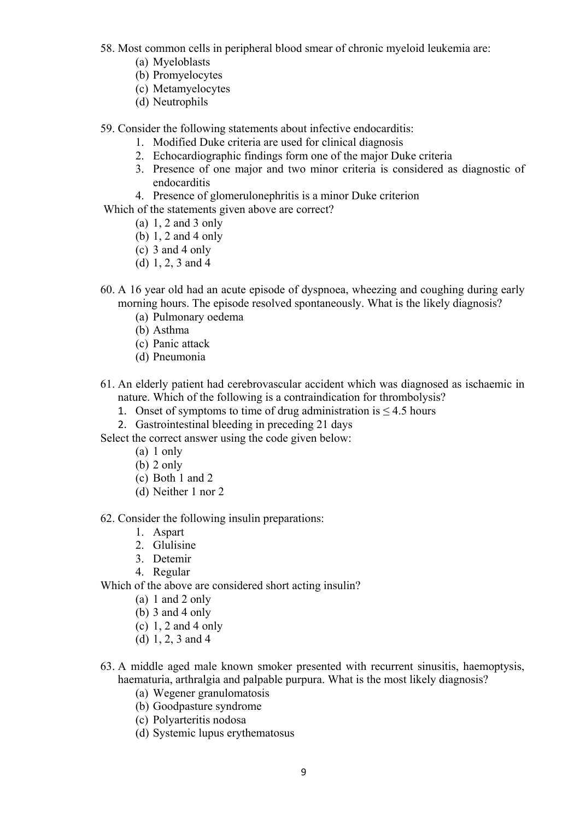- 58. Most common cells in peripheral blood smear of chronic myeloid leukemia are:
	- (a) Myeloblasts
	- (b) Promyelocytes
	- (c) Metamyelocytes
	- (d) Neutrophils
- 59. Consider the following statements about infective endocarditis:
	- 1. Modified Duke criteria are used for clinical diagnosis
	- 2. Echocardiographic findings form one of the major Duke criteria
	- 3. Presence of one major and two minor criteria is considered as diagnostic of endocarditis
	- 4. Presence of glomerulonephritis is a minor Duke criterion

Which of the statements given above are correct?

- (a) 1, 2 and 3 only
- (b) 1, 2 and 4 only
- (c) 3 and 4 only
- (d) 1, 2, 3 and 4
- 60. A 16 year old had an acute episode of dyspnoea, wheezing and coughing during early morning hours. The episode resolved spontaneously. What is the likely diagnosis?
	- (a) Pulmonary oedema
	- (b) Asthma
	- (c) Panic attack
	- (d) Pneumonia
- 61. An elderly patient had cerebrovascular accident which was diagnosed as ischaemic in nature. Which of the following is a contraindication for thrombolysis?
	- 1. Onset of symptoms to time of drug administration is  $\leq 4.5$  hours
	- 2. Gastrointestinal bleeding in preceding 21 days
- Select the correct answer using the code given below:
	- (a) 1 only
	- (b) 2 only
	- (c) Both 1 and 2
	- (d) Neither 1 nor 2

62. Consider the following insulin preparations:

- 1. Aspart
- 2. Glulisine
- 3. Detemir
- 4. Regular
- Which of the above are considered short acting insulin?
	- (a) 1 and 2 only
	- (b)  $3$  and  $4$  only
	- (c) 1, 2 and 4 only
	- (d) 1, 2, 3 and 4
- 63. A middle aged male known smoker presented with recurrent sinusitis, haemoptysis, haematuria, arthralgia and palpable purpura. What is the most likely diagnosis?
	- (a) Wegener granulomatosis
	- (b) Goodpasture syndrome
	- (c) Polyarteritis nodosa
	- (d) Systemic lupus erythematosus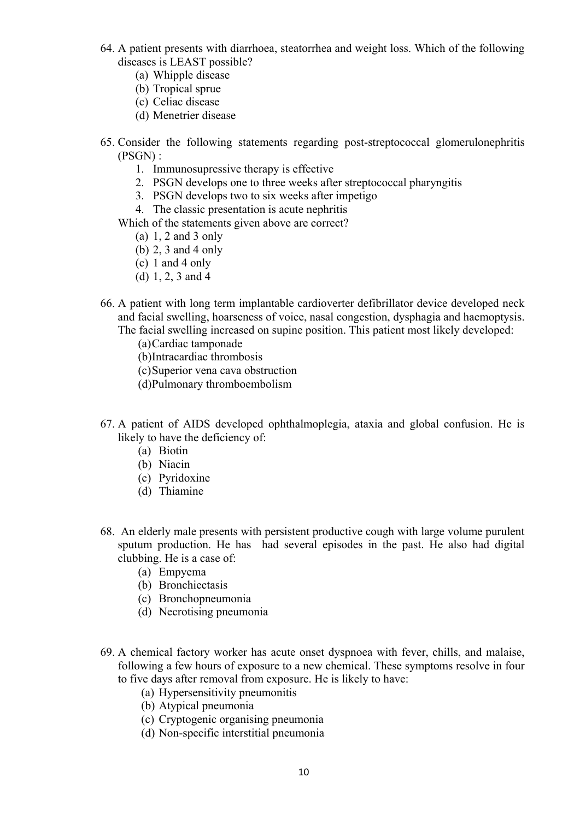- 64. A patient presents with diarrhoea, steatorrhea and weight loss. Which of the following diseases is LEAST possible?
	- (a) Whipple disease
	- (b) Tropical sprue
	- (c) Celiac disease
	- (d) Menetrier disease
- 65. Consider the following statements regarding post-streptococcal glomerulonephritis (PSGN) :
	- 1. Immunosupressive therapy is effective
	- 2. PSGN develops one to three weeks after streptococcal pharyngitis
	- 3. PSGN develops two to six weeks after impetigo
	- 4. The classic presentation is acute nephritis
	- Which of the statements given above are correct?
		- (a) 1, 2 and 3 only
		- (b) 2, 3 and 4 only
		- (c) 1 and 4 only
		- (d) 1, 2, 3 and 4
- 66. A patient with long term implantable cardioverter defibrillator device developed neck and facial swelling, hoarseness of voice, nasal congestion, dysphagia and haemoptysis. The facial swelling increased on supine position. This patient most likely developed:
	- (a)Cardiac tamponade
	- (b)Intracardiac thrombosis
	- (c)Superior vena cava obstruction
	- (d)Pulmonary thromboembolism
- 67. A patient of AIDS developed ophthalmoplegia, ataxia and global confusion. He is likely to have the deficiency of:
	- (a) Biotin
	- (b) Niacin
	- (c) Pyridoxine
	- (d) Thiamine
- 68. An elderly male presents with persistent productive cough with large volume purulent sputum production. He has had several episodes in the past. He also had digital clubbing. He is a case of:
	- (a) Empyema
	- (b) Bronchiectasis
	- (c) Bronchopneumonia
	- (d) Necrotising pneumonia
- 69. A chemical factory worker has acute onset dyspnoea with fever, chills, and malaise, following a few hours of exposure to a new chemical. These symptoms resolve in four to five days after removal from exposure. He is likely to have:
	- (a) Hypersensitivity pneumonitis
	- (b) Atypical pneumonia
	- (c) Cryptogenic organising pneumonia
	- (d) Non-specific interstitial pneumonia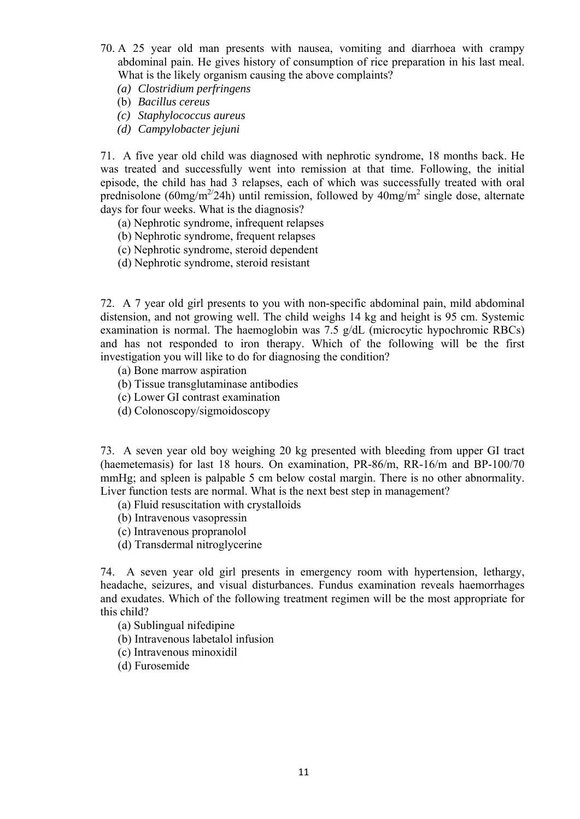- 70. A 25 year old man presents with nausea, vomiting and diarrhoea with crampy abdominal pain. He gives history of consumption of rice preparation in his last meal. What is the likely organism causing the above complaints?
	- *(a) Clostridium perfringens*
	- (b) *Bacillus cereus*
	- *(c) Staphylococcus aureus*
	- *(d) Campylobacter jejuni*

71. A five year old child was diagnosed with nephrotic syndrome, 18 months back. He was treated and successfully went into remission at that time. Following, the initial episode, the child has had 3 relapses, each of which was successfully treated with oral prednisolone ( $60$ mg/m<sup>2/</sup>24h) until remission, followed by  $40$ mg/m<sup>2</sup> single dose, alternate days for four weeks. What is the diagnosis?

- (a) Nephrotic syndrome, infrequent relapses
- (b) Nephrotic syndrome, frequent relapses
- (c) Nephrotic syndrome, steroid dependent
- (d) Nephrotic syndrome, steroid resistant

72. A 7 year old girl presents to you with non-specific abdominal pain, mild abdominal distension, and not growing well. The child weighs 14 kg and height is 95 cm. Systemic examination is normal. The haemoglobin was 7.5 g/dL (microcytic hypochromic RBCs) and has not responded to iron therapy. Which of the following will be the first investigation you will like to do for diagnosing the condition?

- (a) Bone marrow aspiration
- (b) Tissue transglutaminase antibodies
- (c) Lower GI contrast examination
- (d) Colonoscopy/sigmoidoscopy

73. A seven year old boy weighing 20 kg presented with bleeding from upper GI tract (haemetemasis) for last 18 hours. On examination, PR-86/m, RR-16/m and BP-100/70 mmHg; and spleen is palpable 5 cm below costal margin. There is no other abnormality. Liver function tests are normal. What is the next best step in management?

- (a) Fluid resuscitation with crystalloids
- (b) Intravenous vasopressin
- (c) Intravenous propranolol
- (d) Transdermal nitroglycerine

74. A seven year old girl presents in emergency room with hypertension, lethargy, headache, seizures, and visual disturbances. Fundus examination reveals haemorrhages and exudates. Which of the following treatment regimen will be the most appropriate for this child?

- (a) Sublingual nifedipine
- (b) Intravenous labetalol infusion
- (c) Intravenous minoxidil
- (d) Furosemide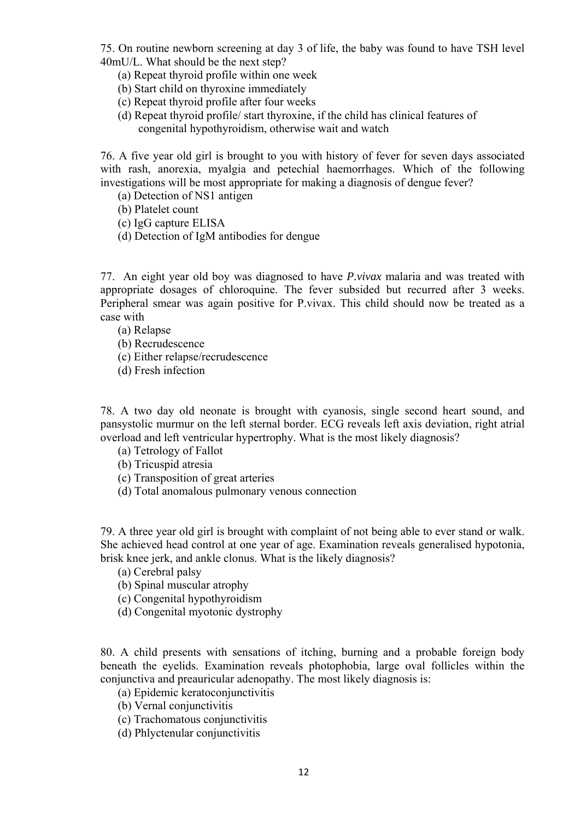75. On routine newborn screening at day 3 of life, the baby was found to have TSH level 40mU/L. What should be the next step?

(a) Repeat thyroid profile within one week

(b) Start child on thyroxine immediately

- (c) Repeat thyroid profile after four weeks
- (d) Repeat thyroid profile/ start thyroxine, if the child has clinical features of congenital hypothyroidism, otherwise wait and watch

76. A five year old girl is brought to you with history of fever for seven days associated with rash, anorexia, myalgia and petechial haemorrhages. Which of the following investigations will be most appropriate for making a diagnosis of dengue fever?

(a) Detection of NS1 antigen

- (b) Platelet count
- (c) IgG capture ELISA
- (d) Detection of IgM antibodies for dengue

77. An eight year old boy was diagnosed to have *P.vivax* malaria and was treated with appropriate dosages of chloroquine. The fever subsided but recurred after 3 weeks. Peripheral smear was again positive for P.vivax. This child should now be treated as a case with

(a) Relapse

- (b) Recrudescence
- (c) Either relapse/recrudescence
- (d) Fresh infection

78. A two day old neonate is brought with cyanosis, single second heart sound, and pansystolic murmur on the left sternal border. ECG reveals left axis deviation, right atrial overload and left ventricular hypertrophy. What is the most likely diagnosis?

- (a) Tetrology of Fallot
- (b) Tricuspid atresia
- (c) Transposition of great arteries
- (d) Total anomalous pulmonary venous connection

79. A three year old girl is brought with complaint of not being able to ever stand or walk. She achieved head control at one year of age. Examination reveals generalised hypotonia, brisk knee jerk, and ankle clonus. What is the likely diagnosis?

- (a) Cerebral palsy
- (b) Spinal muscular atrophy
- (c) Congenital hypothyroidism
- (d) Congenital myotonic dystrophy

80. A child presents with sensations of itching, burning and a probable foreign body beneath the eyelids. Examination reveals photophobia, large oval follicles within the conjunctiva and preauricular adenopathy. The most likely diagnosis is:

- (a) Epidemic keratoconjunctivitis
- (b) Vernal conjunctivitis
- (c) Trachomatous conjunctivitis
- (d) Phlyctenular conjunctivitis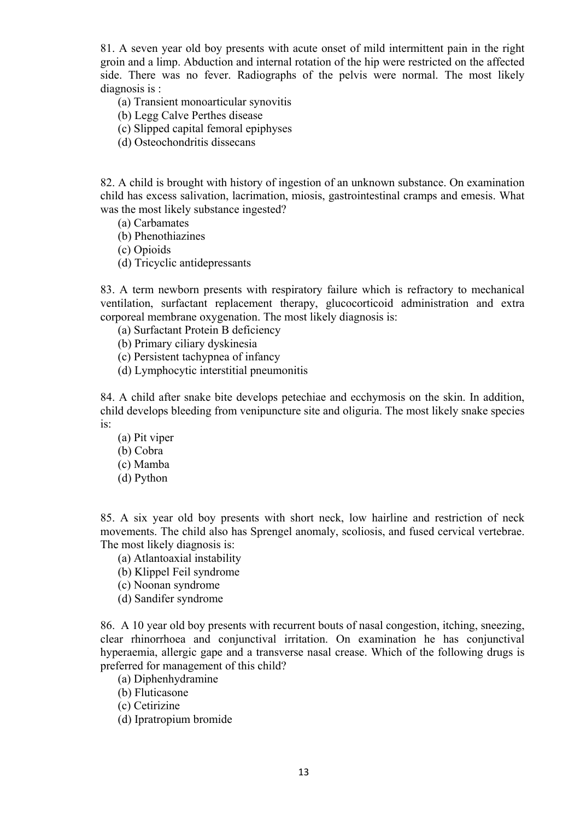81. A seven year old boy presents with acute onset of mild intermittent pain in the right groin and a limp. Abduction and internal rotation of the hip were restricted on the affected side. There was no fever. Radiographs of the pelvis were normal. The most likely diagnosis is :

(a) Transient monoarticular synovitis

- (b) Legg Calve Perthes disease
- (c) Slipped capital femoral epiphyses
- (d) Osteochondritis dissecans

82. A child is brought with history of ingestion of an unknown substance. On examination child has excess salivation, lacrimation, miosis, gastrointestinal cramps and emesis. What was the most likely substance ingested?

- (a) Carbamates
- (b) Phenothiazines
- (c) Opioids
- (d) Tricyclic antidepressants

83. A term newborn presents with respiratory failure which is refractory to mechanical ventilation, surfactant replacement therapy, glucocorticoid administration and extra corporeal membrane oxygenation. The most likely diagnosis is:

- (a) Surfactant Protein B deficiency
- (b) Primary ciliary dyskinesia
- (c) Persistent tachypnea of infancy
- (d) Lymphocytic interstitial pneumonitis

84. A child after snake bite develops petechiae and ecchymosis on the skin. In addition, child develops bleeding from venipuncture site and oliguria. The most likely snake species is:

- (a) Pit viper
- (b) Cobra
- (c) Mamba
- (d) Python

85. A six year old boy presents with short neck, low hairline and restriction of neck movements. The child also has Sprengel anomaly, scoliosis, and fused cervical vertebrae. The most likely diagnosis is:

- (a) Atlantoaxial instability
- (b) Klippel Feil syndrome
- (c) Noonan syndrome
- (d) Sandifer syndrome

86. A 10 year old boy presents with recurrent bouts of nasal congestion, itching, sneezing, clear rhinorrhoea and conjunctival irritation. On examination he has conjunctival hyperaemia, allergic gape and a transverse nasal crease. Which of the following drugs is preferred for management of this child?

- (a) Diphenhydramine
- (b) Fluticasone
- (c) Cetirizine
- (d) Ipratropium bromide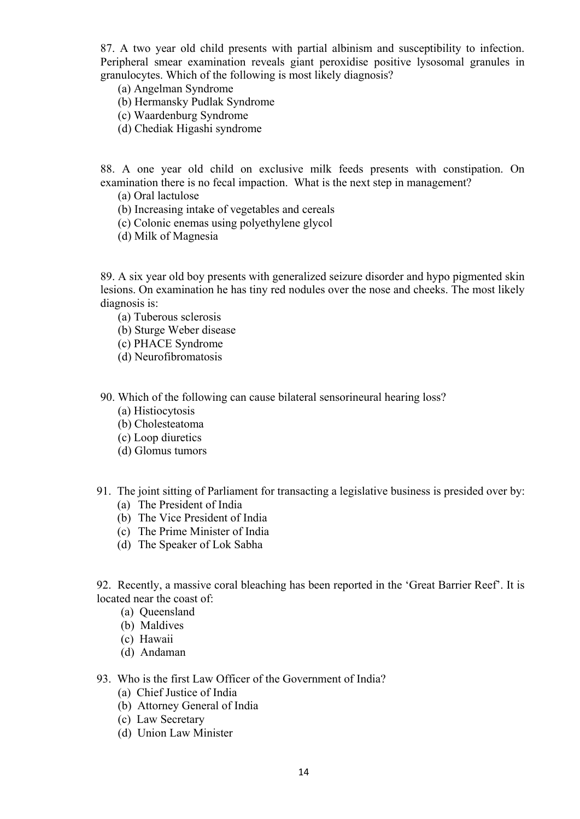87. A two year old child presents with partial albinism and susceptibility to infection. Peripheral smear examination reveals giant peroxidise positive lysosomal granules in granulocytes. Which of the following is most likely diagnosis?

- (a) Angelman Syndrome
- (b) Hermansky Pudlak Syndrome
- (c) Waardenburg Syndrome
- (d) Chediak Higashi syndrome

88. A one year old child on exclusive milk feeds presents with constipation. On examination there is no fecal impaction. What is the next step in management?

- (a) Oral lactulose
- (b) Increasing intake of vegetables and cereals
- (c) Colonic enemas using polyethylene glycol
- (d) Milk of Magnesia

89. A six year old boy presents with generalized seizure disorder and hypo pigmented skin lesions. On examination he has tiny red nodules over the nose and cheeks. The most likely diagnosis is:

- (a) Tuberous sclerosis
- (b) Sturge Weber disease
- (c) PHACE Syndrome
- (d) Neurofibromatosis

90. Which of the following can cause bilateral sensorineural hearing loss?

- (a) Histiocytosis
- (b) Cholesteatoma
- (c) Loop diuretics
- (d) Glomus tumors
- 91. The joint sitting of Parliament for transacting a legislative business is presided over by:
	- (a) The President of India
	- (b) The Vice President of India
	- (c) The Prime Minister of India
	- (d) The Speaker of Lok Sabha

92. Recently, a massive coral bleaching has been reported in the 'Great Barrier Reef'. It is located near the coast of:

- (a) Queensland
- (b) Maldives
- (c) Hawaii
- (d) Andaman

## 93. Who is the first Law Officer of the Government of India?

- (a) Chief Justice of India
- (b) Attorney General of India
- (c) Law Secretary
- (d) Union Law Minister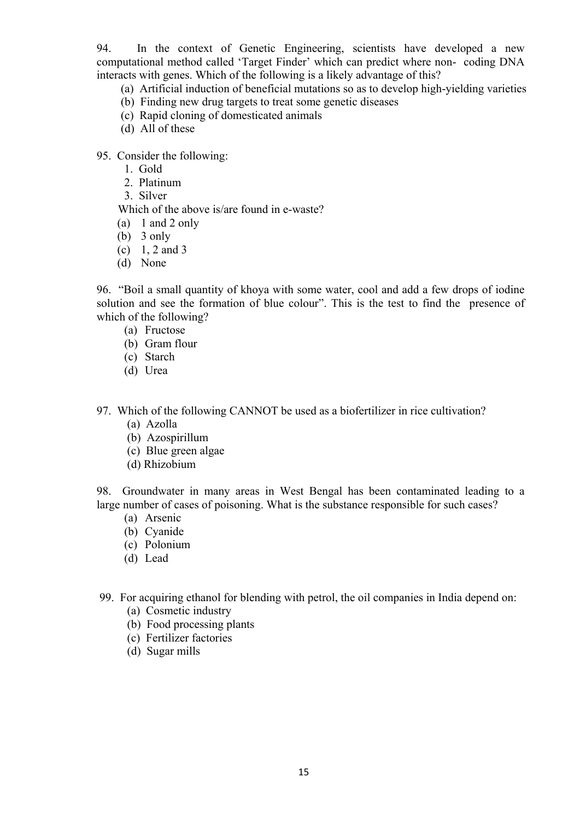94. In the context of Genetic Engineering, scientists have developed a new computational method called 'Target Finder' which can predict where non- coding DNA interacts with genes. Which of the following is a likely advantage of this?

- (a) Artificial induction of beneficial mutations so as to develop high-yielding varieties
- (b) Finding new drug targets to treat some genetic diseases
- (c) Rapid cloning of domesticated animals
- (d) All of these
- 95. Consider the following:
	- 1. Gold
	- 2. Platinum
	- 3. Silver

Which of the above is/are found in e-waste?

- (a) 1 and 2 only
- (b) 3 only
- (c)  $1, 2$  and 3
- (d) None

96. "Boil a small quantity of khoya with some water, cool and add a few drops of iodine solution and see the formation of blue colour". This is the test to find the presence of which of the following?

- (a) Fructose
- (b) Gram flour
- (c) Starch
- (d) Urea

97. Which of the following CANNOT be used as a biofertilizer in rice cultivation?

- (a) Azolla
- (b) Azospirillum
- (c) Blue green algae
- (d) Rhizobium

98. Groundwater in many areas in West Bengal has been contaminated leading to a large number of cases of poisoning. What is the substance responsible for such cases?

- (a) Arsenic
- (b) Cyanide
- (c) Polonium
- (d) Lead

99. For acquiring ethanol for blending with petrol, the oil companies in India depend on:

- (a) Cosmetic industry
- (b) Food processing plants
- (c) Fertilizer factories
- (d) Sugar mills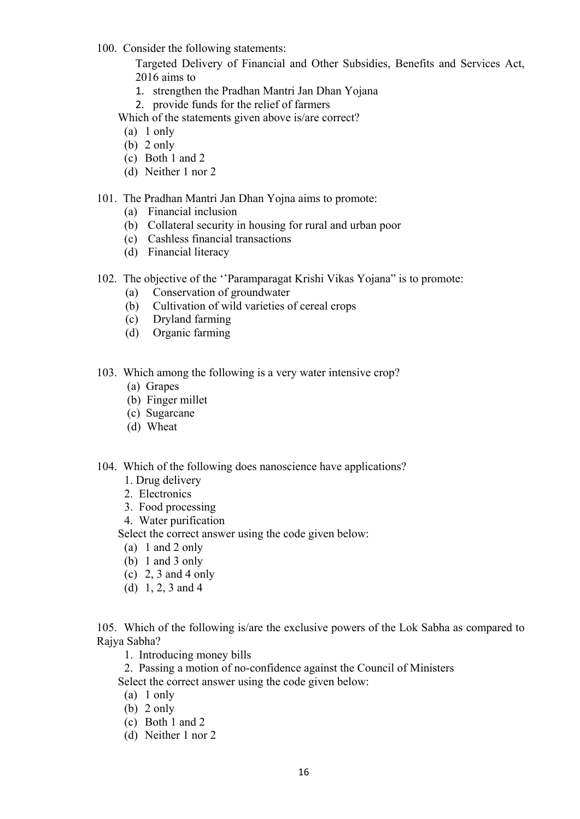100. Consider the following statements:

Targeted Delivery of Financial and Other Subsidies, Benefits and Services Act, 2016 aims to

- 1. strengthen the Pradhan Mantri Jan Dhan Yojana
- 2. provide funds for the relief of farmers

Which of the statements given above is/are correct?

- (a) 1 only
- (b) 2 only
- (c) Both 1 and 2
- (d) Neither 1 nor 2

## 101. The Pradhan Mantri Jan Dhan Yojna aims to promote:

- (a) Financial inclusion
- (b) Collateral security in housing for rural and urban poor
- (c) Cashless financial transactions
- (d) Financial literacy
- 102. The objective of the ''Paramparagat Krishi Vikas Yojana" is to promote:
	- (a) Conservation of groundwater
	- (b) Cultivation of wild varieties of cereal crops
	- (c) Dryland farming
	- (d) Organic farming
- 103. Which among the following is a very water intensive crop?
	- (a) Grapes
	- (b) Finger millet
	- (c) Sugarcane
	- (d) Wheat
- 104. Which of the following does nanoscience have applications?
	- 1. Drug delivery
	- 2. Electronics
	- 3. Food processing
	- 4. Water purification

Select the correct answer using the code given below:

- (a) 1 and 2 only
- (b) 1 and 3 only
- (c) 2, 3 and 4 only
- (d) 1, 2, 3 and 4

105. Which of the following is/are the exclusive powers of the Lok Sabha as compared to Rajya Sabha?

- 1. Introducing money bills
- 2. Passing a motion of no-confidence against the Council of Ministers

Select the correct answer using the code given below:

- (a) 1 only
- (b) 2 only
- (c) Both 1 and 2
- (d) Neither 1 nor 2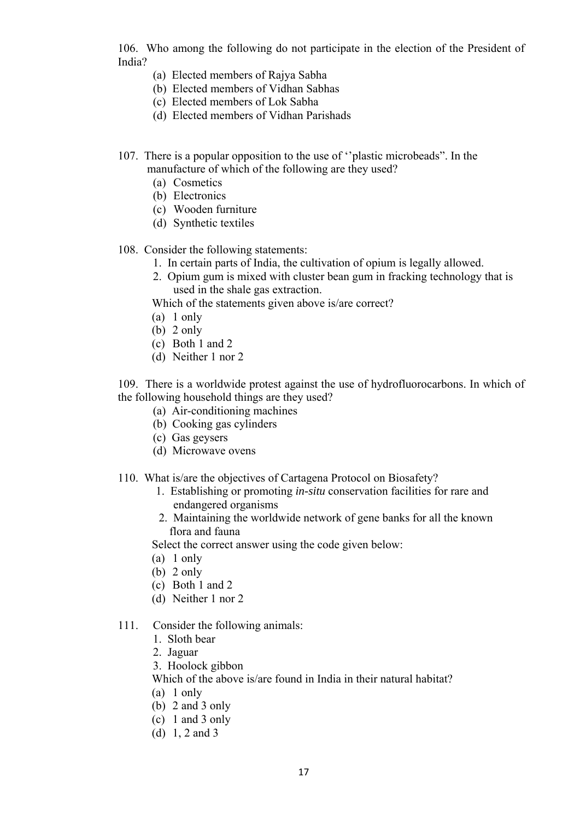106. Who among the following do not participate in the election of the President of India?

- (a) Elected members of Rajya Sabha
- (b) Elected members of Vidhan Sabhas
- (c) Elected members of Lok Sabha
- (d) Elected members of Vidhan Parishads
- 107. There is a popular opposition to the use of ''plastic microbeads". In the manufacture of which of the following are they used?
	- (a) Cosmetics
	- (b) Electronics
	- (c) Wooden furniture
	- (d) Synthetic textiles
- 108. Consider the following statements:
	- 1. In certain parts of India, the cultivation of opium is legally allowed.
	- 2. Opium gum is mixed with cluster bean gum in fracking technology that is used in the shale gas extraction.

Which of the statements given above is/are correct?

- (a) 1 only
- (b) 2 only
- (c) Both 1 and 2
- (d) Neither 1 nor 2

109. There is a worldwide protest against the use of hydrofluorocarbons. In which of the following household things are they used?

- (a) Air-conditioning machines
- (b) Cooking gas cylinders
- (c) Gas geysers
- (d) Microwave ovens
- 110. What is/are the objectives of Cartagena Protocol on Biosafety?
	- 1. Establishing or promoting *in-situ* conservation facilities for rare and endangered organisms
	- 2. Maintaining the worldwide network of gene banks for all the known flora and fauna

Select the correct answer using the code given below:

- (a) 1 only
- (b) 2 only
- (c) Both 1 and 2
- (d) Neither 1 nor 2

### 111. Consider the following animals:

- 1. Sloth bear
- 2. Jaguar
- 3. Hoolock gibbon
- Which of the above is/are found in India in their natural habitat?
- (a) 1 only
- (b) 2 and 3 only
- (c) 1 and 3 only
- (d) 1, 2 and 3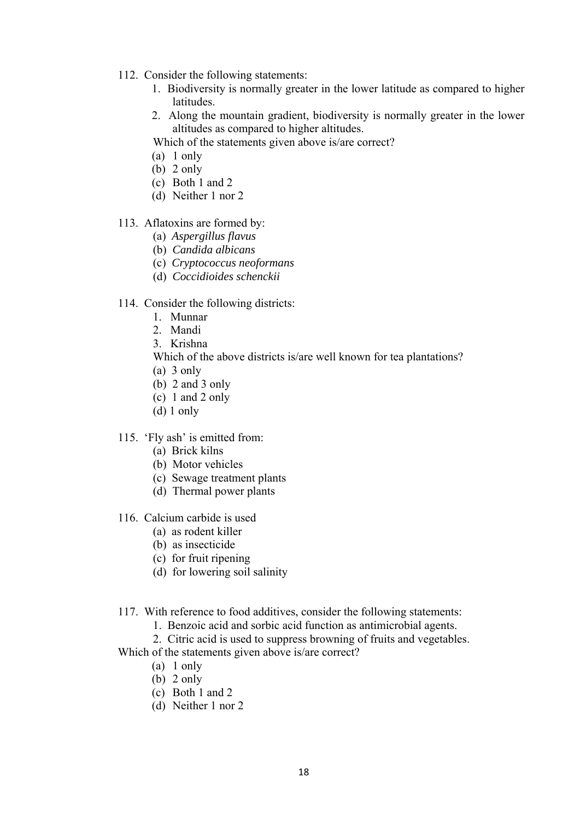- 112. Consider the following statements:
	- 1. Biodiversity is normally greater in the lower latitude as compared to higher latitudes.
	- 2. Along the mountain gradient, biodiversity is normally greater in the lower altitudes as compared to higher altitudes.

Which of the statements given above is/are correct?

- (a) 1 only
- $(b)$  2 only
- (c) Both 1 and 2
- (d) Neither 1 nor 2

### 113. Aflatoxins are formed by:

- (a) *Aspergillus flavus*
- (b) *Candida albicans*
- (c) *Cryptococcus neoformans*
- (d) *Coccidioides schenckii*

## 114. Consider the following districts:

- 1. Munnar
- 2. Mandi
- 3. Krishna
- Which of the above districts is/are well known for tea plantations?
- (a) 3 only
- (b) 2 and 3 only
- (c) 1 and 2 only
- (d) 1 only
- 115. 'Fly ash' is emitted from:
	- (a) Brick kilns
	- (b) Motor vehicles
	- (c) Sewage treatment plants
	- (d) Thermal power plants
- 116. Calcium carbide is used
	- (a) as rodent killer
	- (b) as insecticide
	- (c) for fruit ripening
	- (d) for lowering soil salinity
- 117. With reference to food additives, consider the following statements:
	- 1. Benzoic acid and sorbic acid function as antimicrobial agents.
	- 2. Citric acid is used to suppress browning of fruits and vegetables.

Which of the statements given above is/are correct?

- (a) 1 only
- (b) 2 only
- (c) Both 1 and 2
- (d) Neither 1 nor 2